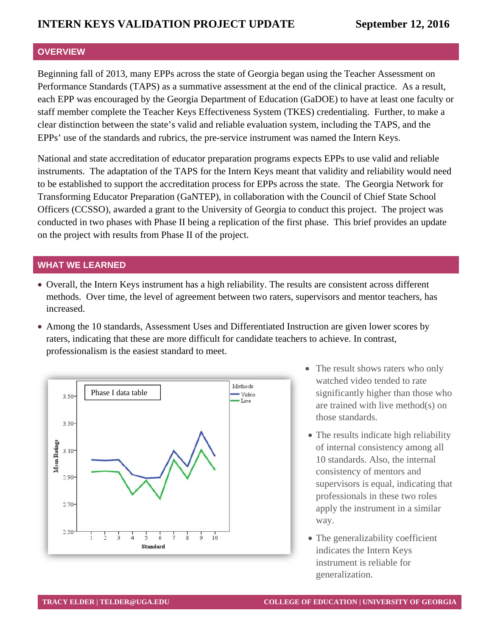#### **OVERVIEW**

Beginning fall of 2013, many EPPs across the state of Georgia began using the Teacher Assessment on Performance Standards (TAPS) as a summative assessment at the end of the clinical practice. As a result, each EPP was encouraged by the Georgia Department of Education (GaDOE) to have at least one faculty or staff member complete the Teacher Keys Effectiveness System (TKES) credentialing. Further, to make a clear distinction between the state's valid and reliable evaluation system, including the TAPS, and the EPPs' use of the standards and rubrics, the pre-service instrument was named the Intern Keys.

National and state accreditation of educator preparation programs expects EPPs to use valid and reliable instruments. The adaptation of the TAPS for the Intern Keys meant that validity and reliability would need to be established to support the accreditation process for EPPs across the state. The Georgia Network for Transforming Educator Preparation (GaNTEP), in collaboration with the Council of Chief State School Officers (CCSSO), awarded a grant to the University of Georgia to conduct this project. The project was conducted in two phases with Phase II being a replication of the first phase. This brief provides an update on the project with results from Phase II of the project.

#### **WHAT WE LEARNED**

- Overall, the Intern Keys instrument has a high reliability. The results are consistent across different methods. Over time, the level of agreement between two raters, supervisors and mentor teachers, has increased.
- Among the 10 standards, Assessment Uses and Differentiated Instruction are given lower scores by raters, indicating that these are more difficult for candidate teachers to achieve. In contrast, professionalism is the easiest standard to meet.



- The result shows raters who only watched video tended to rate significantly higher than those who are trained with live method(s) on those standards.
- The results indicate high reliability of internal consistency among all 10 standards. Also, the internal consistency of mentors and supervisors is equal, indicating that professionals in these two roles apply the instrument in a similar way.
- The generalizability coefficient indicates the Intern Keys instrument is reliable for generalization.